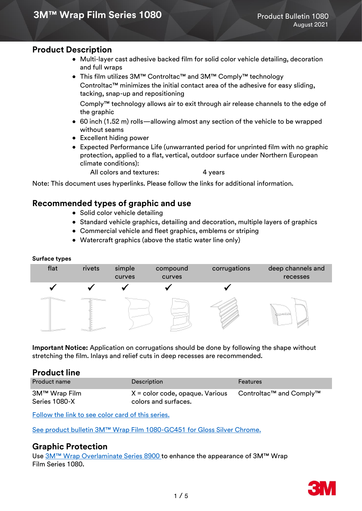### **Product Description**

- Multi-layer cast adhesive backed film for solid color vehicle detailing, decoration and full wraps
- This film utilizes 3M™ Controltac™ and 3M™ Comply™ technology Controltac™ minimizes the initial contact area of the adhesive for easy sliding, tacking, snap-up and repositioning

Comply™ technology allows air to exit through air release channels to the edge of the graphic

- 60 inch (1.52 m) rolls—allowing almost any section of the vehicle to be wrapped without seams
- Excellent hiding power
- Expected Performance Life (unwarranted period for unprinted film with no graphic protection, applied to a flat, vertical, outdoor surface under Northern European climate conditions):

All colors and textures: 4 years

Note: This document uses hyperlinks. Please follow the links for additional information.

# **Recommended types of graphic and use**

- Solid color vehicle detailing
- Standard vehicle graphics, detailing and decoration, multiple layers of graphics
- Commercial vehicle and fleet graphics, emblems or striping
- Watercraft graphics (above the static water line only)

#### **Surface types**



**Important Notice:** Application on corrugations should be done by following the shape without stretching the film. Inlays and relief cuts in deep recesses are recommended.

### **Product line**

| <b>Product name</b>            | <b>Description</b>                                        | Features                |
|--------------------------------|-----------------------------------------------------------|-------------------------|
| 3M™ Wrap Film<br>Series 1080-X | $X =$ color code, opaque. Various<br>colors and surfaces. | Controltac™ and Comply™ |

[Follow the link to see color card of this series.](https://multimedia.3m.com/mws/media/756683O/color-card-1080-series.pdf)

[See product bulletin 3M™ Wrap Film 1080](https://multimedia.3m.com/mws/media/1591361O/product-bulletin-3m-wrap-film-1080-gc451-gloss-silver-chrome.pdf)-GC451 for Gloss Silver Chrome.

### **Graphic Protection**

Use [3M™ Wrap Overlaminate Series 8900](https://multimedia.3m.com/mws/media/1255387O/product-bulletin-8900.pdf) to enhance the appearance of 3M™ Wrap Film Series 1080.

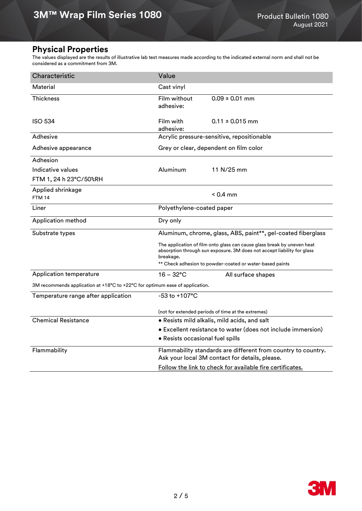# **Physical Properties**

The values displayed are the results of illustrative lab test measures made according to the indicated external norm and shall not be considered as a commitment from 3M.

| Characteristic                                                               | Value                                                                                                                                                           |                                                              |  |  |  |  |  |
|------------------------------------------------------------------------------|-----------------------------------------------------------------------------------------------------------------------------------------------------------------|--------------------------------------------------------------|--|--|--|--|--|
| Material                                                                     | Cast vinyl                                                                                                                                                      |                                                              |  |  |  |  |  |
| <b>Thickness</b>                                                             | Film without<br>adhesive:                                                                                                                                       | $0.09 \pm 0.01$ mm                                           |  |  |  |  |  |
| <b>ISO 534</b>                                                               | Film with<br>adhesive:                                                                                                                                          | $0.11 \pm 0.015$ mm                                          |  |  |  |  |  |
| Adhesive                                                                     | Acrylic pressure-sensitive, repositionable                                                                                                                      |                                                              |  |  |  |  |  |
| Adhesive appearance                                                          | Grey or clear, dependent on film color                                                                                                                          |                                                              |  |  |  |  |  |
| Adhesion                                                                     |                                                                                                                                                                 |                                                              |  |  |  |  |  |
| Indicative values                                                            | Aluminum                                                                                                                                                        | 11 N/25 mm                                                   |  |  |  |  |  |
| FTM 1, 24 h 23°C/50%RH                                                       |                                                                                                                                                                 |                                                              |  |  |  |  |  |
| Applied shrinkage<br><b>FTM 14</b>                                           |                                                                                                                                                                 | $< 0.4$ mm                                                   |  |  |  |  |  |
| Liner                                                                        | Polyethylene-coated paper                                                                                                                                       |                                                              |  |  |  |  |  |
| Application method                                                           | Dry only                                                                                                                                                        |                                                              |  |  |  |  |  |
| Substrate types                                                              |                                                                                                                                                                 | Aluminum, chrome, glass, ABS, paint**, gel-coated fiberglass |  |  |  |  |  |
|                                                                              | The application of film onto glass can cause glass break by uneven heat<br>absorption through sun exposure. 3M does not accept liability for glass<br>breakage. |                                                              |  |  |  |  |  |
|                                                                              | ** Check adhesion to powder-coated or water-based paints                                                                                                        |                                                              |  |  |  |  |  |
| <b>Application temperature</b>                                               | 16 – 32°C                                                                                                                                                       | All surface shapes                                           |  |  |  |  |  |
| 3M recommends application at +18°C to +22°C for optimum ease of application. |                                                                                                                                                                 |                                                              |  |  |  |  |  |
| Temperature range after application                                          | -53 to +107°C                                                                                                                                                   |                                                              |  |  |  |  |  |
|                                                                              | (not for extended periods of time at the extremes)                                                                                                              |                                                              |  |  |  |  |  |
| <b>Chemical Resistance</b>                                                   | . Resists mild alkalis, mild acids, and salt                                                                                                                    |                                                              |  |  |  |  |  |
|                                                                              | • Excellent resistance to water (does not include immersion)                                                                                                    |                                                              |  |  |  |  |  |
|                                                                              | • Resists occasional fuel spills                                                                                                                                |                                                              |  |  |  |  |  |
| Flammability                                                                 | Flammability standards are different from country to country.<br>Ask your local 3M contact for details, please.                                                 |                                                              |  |  |  |  |  |
|                                                                              | Follow the link to check for available fire certificates.                                                                                                       |                                                              |  |  |  |  |  |

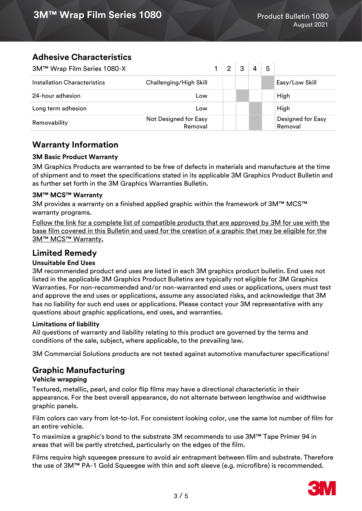# **Adhesive Characteristics**

| 3M™ Wrap Film Series 1080-X  |                                  | $\overline{2}$ | 3 | 4 | 5 |                              |
|------------------------------|----------------------------------|----------------|---|---|---|------------------------------|
| Installation Characteristics | Challenging/High Skill           |                |   |   |   | Easy/Low Skill               |
| 24-hour adhesion             | Low                              |                |   |   |   | High                         |
| Long term adhesion           | Low                              |                |   |   |   | High                         |
| Removability                 | Not Designed for Easy<br>Removal |                |   |   |   | Designed for Easy<br>Removal |

# **Warranty Information**

#### **3M Basic Product Warranty**

3M Graphics Products are warranted to be free of defects in materials and manufacture at the time of shipment and to meet the specifications stated in its applicable 3M Graphics Product Bulletin and as further set forth in the 3M Graphics Warranties Bulletin.

#### **3M™ MCS™ Warranty**

3M provides a warranty on a finished applied graphic within the framework of 3M™ MCS™ warranty programs.

[Follow the link for a complete list of compatible products that are approved by 3M for use with the](https://www.3m.co.uk/3M/en_GB/graphics-and-signage-uk/resources/warranties/?3M-WSL=2)  [base film covered in this Bulletin and used for the creation of a graphic that may be eligible for the](https://www.3m.co.uk/3M/en_GB/graphics-and-signage-uk/resources/warranties/?3M-WSL=2)  [3M™ MCS™ Warranty](https://www.3m.co.uk/3M/en_GB/graphics-and-signage-uk/resources/warranties/?3M-WSL=2).

# **Limited Remedy**

### **Unsuitable End Uses**

3M recommended product end uses are listed in each 3M graphics product bulletin. End uses not listed in the applicable 3M Graphics Product Bulletins are typically not eligible for 3M Graphics Warranties. For non-recommended and/or non-warranted end uses or applications, users must test and approve the end uses or applications, assume any associated risks, and acknowledge that 3M has no liability for such end uses or applications. Please contact your 3M representative with any questions about graphic applications, end uses, and warranties.

#### **Limitations of liability**

All questions of warranty and liability relating to this product are governed by the terms and conditions of the sale, subject, where applicable, to the prevailing law.

3M Commercial Solutions products are not tested against automotive manufacturer specifications!

# **Graphic Manufacturing**

### **Vehicle wrapping**

Textured, metallic, pearl, and color flip films may have a directional characteristic in their appearance. For the best overall appearance, do not alternate between lengthwise and widthwise graphic panels.

Film colors can vary from lot-to-lot. For consistent looking color, use the same lot number of film for an entire vehicle.

To maximize a graphic's bond to the substrate 3M recommends to use 3M™ Tape Primer 94 in areas that will be partly stretched, particularly on the edges of the film.

Films require high squeegee pressure to avoid air entrapment between film and substrate. Therefore the use of 3M™ PA-1 Gold Squeegee with thin and soft sleeve (e.g. microfibre) is recommended.

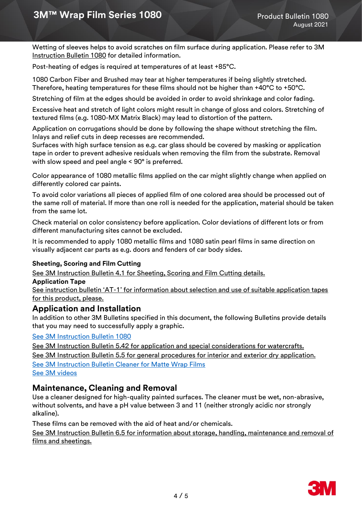Wetting of sleeves helps to avoid scratches on film surface during application. Please refer to 3M [Instruction Bulletin 1080](https://multimedia.3m.com/mws/media/1094058O/instruction-bulletin-1080.pdf) for detailed information.

Post-heating of edges is required at temperatures of at least +85°C.

1080 Carbon Fiber and Brushed may tear at higher temperatures if being slightly stretched. Therefore, heating temperatures for these films should not be higher than +40°C to +50°C.

Stretching of film at the edges should be avoided in order to avoid shrinkage and color fading.

Excessive heat and stretch of light colors might result in change of gloss and colors. Stretching of textured films (e.g. 1080-MX Matrix Black) may lead to distortion of the pattern.

Application on corrugations should be done by following the shape without stretching the film. Inlays and relief cuts in deep recesses are recommended.

Surfaces with high surface tension as e.g. car glass should be covered by masking or application tape in order to prevent adhesive residuals when removing the film from the substrate. Removal with slow speed and peel angle < 90° is preferred.

Color appearance of 1080 metallic films applied on the car might slightly change when applied on differently colored car paints.

To avoid color variations all pieces of applied film of one colored area should be processed out of the same roll of material. If more than one roll is needed for the application, material should be taken from the same lot.

Check material on color consistency before application. Color deviations of different lots or from different manufacturing sites cannot be excluded.

It is recommended to apply 1080 metallic films and 1080 satin pearl films in same direction on visually adjacent car parts as e.g. doors and fenders of car body sides.

#### **Sheeting, Scoring and Film Cutting**

[See 3M Instruction Bulletin 4.1 for Sheeting, Scoring and Film Cutting details.](https://multimedia.3m.com/mws/media/986575O/instruction-bulletin-4-1.pdf)

#### **Application Tape**

See instruction bulletin 'AT-[1' for information about selection and use of suitable application tapes](http://multimedia.3m.com/mws/mediawebserver?mwsId=kkkkkmN6cwZLdp4MGQ4wdQzYYON3YwN69OlkYOlkYkkkkkk--)  [for this product, please.](http://multimedia.3m.com/mws/mediawebserver?mwsId=kkkkkmN6cwZLdp4MGQ4wdQzYYON3YwN69OlkYOlkYkkkkkk--)

### **Application and Installation**

In addition to other 3M Bulletins specified in this document, the following Bulletins provide details that you may need to successfully apply a graphic.

#### [See 3M Instruction Bulletin 1080](https://multimedia.3m.com/mws/media/1094058O/instruction-bulletin-1080.pdf)

[See 3M Instruction Bulletin 5.42 for application and special considerations for watercrafts.](https://multimedia.3m.com/mws/media/1034051O/instruction-bulletin-5-42.pdf) [See 3M Instruction Bulletin 5.5 for general procedures for interior and exterior dry application.](https://multimedia.3m.com/mws/media/1002230O/instruction-bulletin-5-5.pdf) [See 3M Instruction Bulletin Cleaner for Matte Wrap Films](https://multimedia.3m.com/mws/media/1178481O/product-bulletin-cleaner-for-matte-wrap-films.pdf) [See 3M videos](https://www.3m.com/3M/en_US/graphics-signage-us/resources/)

### **Maintenance, Cleaning and Removal**

Use a cleaner designed for high-quality painted surfaces. The cleaner must be wet, non-abrasive, without solvents, and have a pH value between 3 and 11 (neither strongly acidic nor strongly alkaline).

These films can be removed with the aid of heat and/or chemicals.

[See 3M Instruction Bulletin 6.5 for information about storage, handling, maintenance and removal of](http://multimedia.3m.com/mws/mediawebserver?mwsId=66666UgxGCuNyXTt58TaNxMyEVtQEcuZgVs6EVs6E666666--)  [films and sheetings.](http://multimedia.3m.com/mws/mediawebserver?mwsId=66666UgxGCuNyXTt58TaNxMyEVtQEcuZgVs6EVs6E666666--)